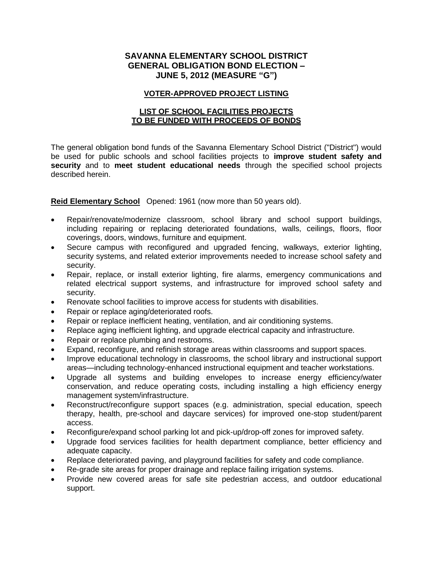# **SAVANNA ELEMENTARY SCHOOL DISTRICT GENERAL OBLIGATION BOND ELECTION – JUNE 5, 2012 (MEASURE "G")**

#### **VOTER-APPROVED PROJECT LISTING**

### **LIST OF SCHOOL FACILITIES PROJECTS TO BE FUNDED WITH PROCEEDS OF BONDS**

The general obligation bond funds of the Savanna Elementary School District ("District") would be used for public schools and school facilities projects to **improve student safety and security** and to **meet student educational needs** through the specified school projects described herein.

**Reid Elementary School** Opened: 1961 (now more than 50 years old).

- Repair/renovate/modernize classroom, school library and school support buildings, including repairing or replacing deteriorated foundations, walls, ceilings, floors, floor coverings, doors, windows, furniture and equipment.
- Secure campus with reconfigured and upgraded fencing, walkways, exterior lighting, security systems, and related exterior improvements needed to increase school safety and security.
- Repair, replace, or install exterior lighting, fire alarms, emergency communications and related electrical support systems, and infrastructure for improved school safety and security.
- Renovate school facilities to improve access for students with disabilities.
- Repair or replace aging/deteriorated roofs.
- Repair or replace inefficient heating, ventilation, and air conditioning systems.
- Replace aging inefficient lighting, and upgrade electrical capacity and infrastructure.
- Repair or replace plumbing and restrooms.
- Expand, reconfigure, and refinish storage areas within classrooms and support spaces.
- Improve educational technology in classrooms, the school library and instructional support areas—including technology-enhanced instructional equipment and teacher workstations.
- Upgrade all systems and building envelopes to increase energy efficiency/water conservation, and reduce operating costs, including installing a high efficiency energy management system/infrastructure.
- Reconstruct/reconfigure support spaces (e.g. administration, special education, speech therapy, health, pre-school and daycare services) for improved one-stop student/parent access.
- Reconfigure/expand school parking lot and pick-up/drop-off zones for improved safety.
- Upgrade food services facilities for health department compliance, better efficiency and adequate capacity.
- Replace deteriorated paving, and playground facilities for safety and code compliance.
- Re-grade site areas for proper drainage and replace failing irrigation systems.
- Provide new covered areas for safe site pedestrian access, and outdoor educational support.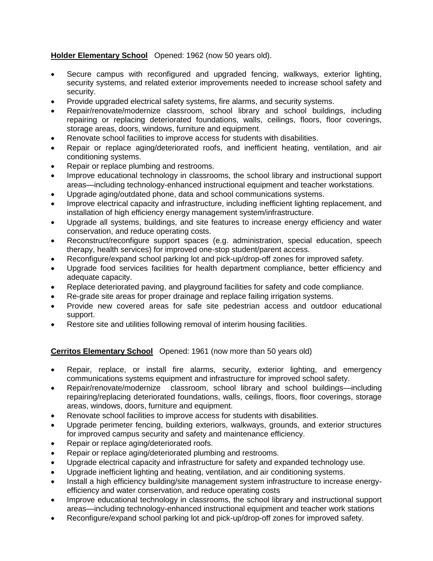# **Holder Elementary School** Opened: 1962 (now 50 years old).

- Secure campus with reconfigured and upgraded fencing, walkways, exterior lighting, security systems, and related exterior improvements needed to increase school safety and security.
- Provide upgraded electrical safety systems, fire alarms, and security systems.
- Repair/renovate/modernize classroom, school library and school buildings, including repairing or replacing deteriorated foundations, walls, ceilings, floors, floor coverings, storage areas, doors, windows, furniture and equipment.
- Renovate school facilities to improve access for students with disabilities.
- Repair or replace aging/deteriorated roofs, and inefficient heating, ventilation, and air conditioning systems.
- Repair or replace plumbing and restrooms.
- Improve educational technology in classrooms, the school library and instructional support areas—including technology-enhanced instructional equipment and teacher workstations.
- Upgrade aging/outdated phone, data and school communications systems.
- Improve electrical capacity and infrastructure, including inefficient lighting replacement, and installation of high efficiency energy management system/infrastructure.
- Upgrade all systems, buildings, and site features to increase energy efficiency and water conservation, and reduce operating costs.
- Reconstruct/reconfigure support spaces (e.g. administration, special education, speech therapy, health services) for improved one-stop student/parent access.
- Reconfigure/expand school parking lot and pick-up/drop-off zones for improved safety.
- Upgrade food services facilities for health department compliance, better efficiency and adequate capacity.
- Replace deteriorated paving, and playground facilities for safety and code compliance.
- Re-grade site areas for proper drainage and replace failing irrigation systems.
- Provide new covered areas for safe site pedestrian access and outdoor educational support.
- Restore site and utilities following removal of interim housing facilities.

#### **Cerritos Elementary School** Opened: 1961 (now more than 50 years old)

- Repair, replace, or install fire alarms, security, exterior lighting, and emergency communications systems equipment and infrastructure for improved school safety.
- Repair/renovate/modernize classroom, school library and school buildings—including repairing/replacing deteriorated foundations, walls, ceilings, floors, floor coverings, storage areas, windows, doors, furniture and equipment.
- Renovate school facilities to improve access for students with disabilities.
- Upgrade perimeter fencing, building exteriors, walkways, grounds, and exterior structures for improved campus security and safety and maintenance efficiency.
- Repair or replace aging/deteriorated roofs.
- Repair or replace aging/deteriorated plumbing and restrooms.
- Upgrade electrical capacity and infrastructure for safety and expanded technology use.
- Upgrade inefficient lighting and heating, ventilation, and air conditioning systems.
- Install a high efficiency building/site management system infrastructure to increase energyefficiency and water conservation, and reduce operating costs
- Improve educational technology in classrooms, the school library and instructional support areas—including technology-enhanced instructional equipment and teacher work stations
- Reconfigure/expand school parking lot and pick-up/drop-off zones for improved safety.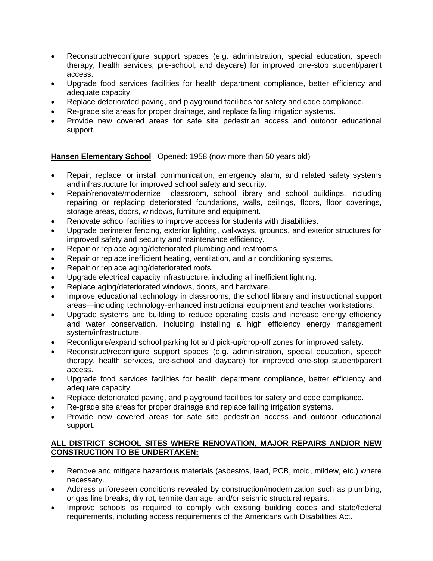- Reconstruct/reconfigure support spaces (e.g. administration, special education, speech therapy, health services, pre-school, and daycare) for improved one-stop student/parent access.
- Upgrade food services facilities for health department compliance, better efficiency and adequate capacity.
- Replace deteriorated paving, and playground facilities for safety and code compliance.
- Re-grade site areas for proper drainage, and replace failing irrigation systems.
- Provide new covered areas for safe site pedestrian access and outdoor educational support.

**Hansen Elementary School** Opened: 1958 (now more than 50 years old)

- Repair, replace, or install communication, emergency alarm, and related safety systems and infrastructure for improved school safety and security.
- Repair/renovate/modernize classroom, school library and school buildings, including repairing or replacing deteriorated foundations, walls, ceilings, floors, floor coverings, storage areas, doors, windows, furniture and equipment.
- Renovate school facilities to improve access for students with disabilities.
- Upgrade perimeter fencing, exterior lighting, walkways, grounds, and exterior structures for improved safety and security and maintenance efficiency.
- Repair or replace aging/deteriorated plumbing and restrooms.
- Repair or replace inefficient heating, ventilation, and air conditioning systems.
- Repair or replace aging/deteriorated roofs.
- Upgrade electrical capacity infrastructure, including all inefficient lighting.
- Replace aging/deteriorated windows, doors, and hardware.
- Improve educational technology in classrooms, the school library and instructional support areas—including technology-enhanced instructional equipment and teacher workstations.
- Upgrade systems and building to reduce operating costs and increase energy efficiency and water conservation, including installing a high efficiency energy management system/infrastructure.
- Reconfigure/expand school parking lot and pick-up/drop-off zones for improved safety.
- Reconstruct/reconfigure support spaces (e.g. administration, special education, speech therapy, health services, pre-school and daycare) for improved one-stop student/parent access.
- Upgrade food services facilities for health department compliance, better efficiency and adequate capacity.
- Replace deteriorated paving, and playground facilities for safety and code compliance.
- Re-grade site areas for proper drainage and replace failing irrigation systems.
- Provide new covered areas for safe site pedestrian access and outdoor educational support.

#### **ALL DISTRICT SCHOOL SITES WHERE RENOVATION, MAJOR REPAIRS AND/OR NEW CONSTRUCTION TO BE UNDERTAKEN:**

- Remove and mitigate hazardous materials (asbestos, lead, PCB, mold, mildew, etc.) where necessary.
- Address unforeseen conditions revealed by construction/modernization such as plumbing, or gas line breaks, dry rot, termite damage, and/or seismic structural repairs.
- Improve schools as required to comply with existing building codes and state/federal requirements, including access requirements of the Americans with Disabilities Act.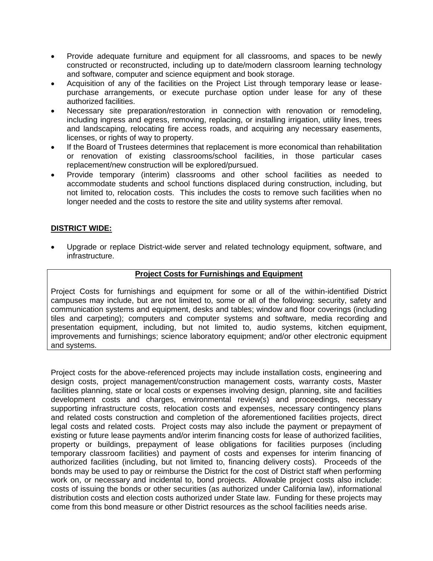- Provide adequate furniture and equipment for all classrooms, and spaces to be newly constructed or reconstructed, including up to date/modern classroom learning technology and software, computer and science equipment and book storage.
- Acquisition of any of the facilities on the Project List through temporary lease or leasepurchase arrangements, or execute purchase option under lease for any of these authorized facilities.
- Necessary site preparation/restoration in connection with renovation or remodeling, including ingress and egress, removing, replacing, or installing irrigation, utility lines, trees and landscaping, relocating fire access roads, and acquiring any necessary easements, licenses, or rights of way to property.
- If the Board of Trustees determines that replacement is more economical than rehabilitation or renovation of existing classrooms/school facilities, in those particular cases replacement/new construction will be explored/pursued.
- Provide temporary (interim) classrooms and other school facilities as needed to accommodate students and school functions displaced during construction, including, but not limited to, relocation costs. This includes the costs to remove such facilities when no longer needed and the costs to restore the site and utility systems after removal.

### **DISTRICT WIDE:**

 Upgrade or replace District-wide server and related technology equipment, software, and infrastructure.

#### **Project Costs for Furnishings and Equipment**

Project Costs for furnishings and equipment for some or all of the within-identified District campuses may include, but are not limited to, some or all of the following: security, safety and communication systems and equipment, desks and tables; window and floor coverings (including tiles and carpeting); computers and computer systems and software, media recording and presentation equipment, including, but not limited to, audio systems, kitchen equipment, improvements and furnishings; science laboratory equipment; and/or other electronic equipment and systems.

Project costs for the above-referenced projects may include installation costs, engineering and design costs, project management/construction management costs, warranty costs, Master facilities planning, state or local costs or expenses involving design, planning, site and facilities development costs and charges, environmental review(s) and proceedings, necessary supporting infrastructure costs, relocation costs and expenses, necessary contingency plans and related costs construction and completion of the aforementioned facilities projects, direct legal costs and related costs. Project costs may also include the payment or prepayment of existing or future lease payments and/or interim financing costs for lease of authorized facilities, property or buildings, prepayment of lease obligations for facilities purposes (including temporary classroom facilities) and payment of costs and expenses for interim financing of authorized facilities (including, but not limited to, financing delivery costs). Proceeds of the bonds may be used to pay or reimburse the District for the cost of District staff when performing work on, or necessary and incidental to, bond projects. Allowable project costs also include: costs of issuing the bonds or other securities (as authorized under California law), informational distribution costs and election costs authorized under State law. Funding for these projects may come from this bond measure or other District resources as the school facilities needs arise.